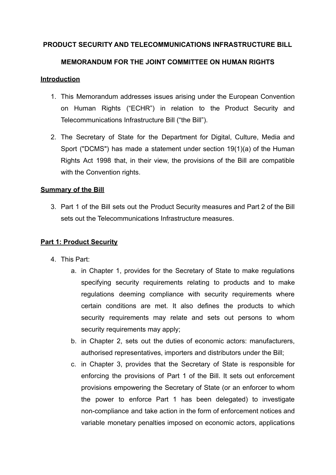# **PRODUCT SECURITY AND TELECOMMUNICATIONS INFRASTRUCTURE BILL**

# **MEMORANDUM FOR THE JOINT COMMITTEE ON HUMAN RIGHTS**

## **Introduction**

- 1. This Memorandum addresses issues arising under the European Convention on Human Rights ("ECHR") in relation to the Product Security and Telecommunications Infrastructure Bill ("the Bill").
- 2. The Secretary of State for the Department for Digital, Culture, Media and Sport ("DCMS") has made a statement under section 19(1)(a) of the Human Rights Act 1998 that, in their view, the provisions of the Bill are compatible with the Convention rights.

# **Summary of the Bill**

3. Part 1 of the Bill sets out the Product Security measures and Part 2 of the Bill sets out the Telecommunications Infrastructure measures.

# **Part 1: Product Security**

- 4. This Part:
	- a. in Chapter 1, provides for the Secretary of State to make regulations specifying security requirements relating to products and to make regulations deeming compliance with security requirements where certain conditions are met. It also defines the products to which security requirements may relate and sets out persons to whom security requirements may apply;
	- b. in Chapter 2, sets out the duties of economic actors: manufacturers, authorised representatives, importers and distributors under the Bill;
	- c. in Chapter 3, provides that the Secretary of State is responsible for enforcing the provisions of Part 1 of the Bill. It sets out enforcement provisions empowering the Secretary of State (or an enforcer to whom the power to enforce Part 1 has been delegated) to investigate non-compliance and take action in the form of enforcement notices and variable monetary penalties imposed on economic actors, applications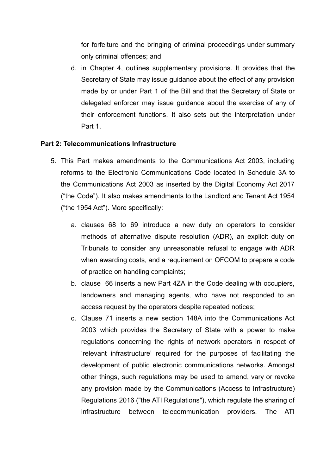for forfeiture and the bringing of criminal proceedings under summary only criminal offences; and

d. in Chapter 4, outlines supplementary provisions. It provides that the Secretary of State may issue guidance about the effect of any provision made by or under Part 1 of the Bill and that the Secretary of State or delegated enforcer may issue guidance about the exercise of any of their enforcement functions. It also sets out the interpretation under Part 1.

## **Part 2: Telecommunications Infrastructure**

- 5. This Part makes amendments to the Communications Act 2003, including reforms to the Electronic Communications Code located in [Schedule](https://www.legislation.gov.uk/ukpga/2003/21/schedule/3A) 3A to the [Communications](https://www.legislation.gov.uk/ukpga/2003/21/schedule/3A) Act 2003 as inserted by the Digital Economy Act 2017 ("the Code"). It also makes amendments to the Landlord and Tenant Act 1954 ("the 1954 Act"). More specifically:
	- a. clauses 68 to 69 introduce a new duty on operators to consider methods of alternative dispute resolution (ADR), an explicit duty on Tribunals to consider any unreasonable refusal to engage with ADR when awarding costs, and a requirement on OFCOM to prepare a code of practice on handling complaints;
	- b. clause 66 inserts a new Part 4ZA in the Code dealing with occupiers, landowners and managing agents, who have not responded to an access request by the operators despite repeated notices;
	- c. Clause 71 inserts a new section 148A into the Communications Act 2003 which provides the Secretary of State with a power to make regulations concerning the rights of network operators in respect of 'relevant infrastructure' required for the purposes of facilitating the development of public electronic communications networks. Amongst other things, such regulations may be used to amend, vary or revoke any provision made by the Communications (Access to Infrastructure) Regulations 2016 ("the ATI Regulations"), which regulate the sharing of infrastructure between telecommunication providers. The ATI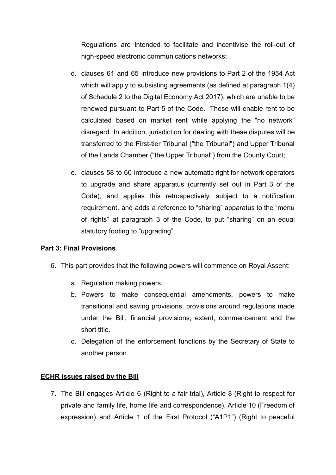Regulations are intended to facilitate and incentivise the roll-out of high-speed electronic communications networks;

- d. clauses 61 and 65 introduce new provisions to Part 2 of the 1954 Act which will apply to subsisting agreements (as defined at paragraph 1(4) of Schedule 2 to the Digital Economy Act 2017), which are unable to be renewed pursuant to Part 5 of the Code. These will enable rent to be calculated based on market rent while applying the "no network" disregard. In addition, jurisdiction for dealing with these disputes will be transferred to the First-tier Tribunal ("the Tribunal") and Upper Tribunal of the Lands Chamber ("the Upper Tribunal") from the County Court;
- e. clauses 58 to 60 introduce a new automatic right for network operators to upgrade and share apparatus (currently set out in Part 3 of the Code), and applies this retrospectively, subject to a notification requirement, and adds a reference to "sharing" apparatus to the "menu of rights" at paragraph 3 of the Code, to put "sharing" on an equal statutory footing to "upgrading".

# **Part 3: Final Provisions**

- 6. This part provides that the following powers will commence on Royal Assent:
	- a. Regulation making powers.
	- b. Powers to make consequential amendments, powers to make transitional and saving provisions, provisions around regulations made under the Bill, financial provisions, extent, commencement and the short title.
	- c. Delegation of the enforcement functions by the Secretary of State to another person.

## **ECHR issues raised by the Bill**

7. The Bill engages Article 6 (Right to a fair trial), Article 8 (Right to respect for private and family life, home life and correspondence), Article 10 (Freedom of expression) and Article 1 of the First Protocol ("A1P1") (Right to peaceful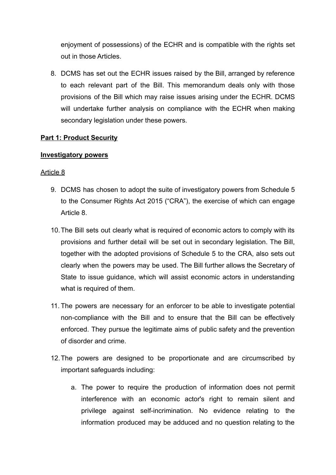enjoyment of possessions) of the ECHR and is compatible with the rights set out in those Articles.

8. DCMS has set out the ECHR issues raised by the Bill, arranged by reference to each relevant part of the Bill. This memorandum deals only with those provisions of the Bill which may raise issues arising under the ECHR. DCMS will undertake further analysis on compliance with the ECHR when making secondary legislation under these powers.

## **Part 1: Product Security**

## **Investigatory powers**

- 9. DCMS has chosen to adopt the suite of investigatory powers from Schedule 5 to the Consumer Rights Act 2015 ("CRA"), the exercise of which can engage Article 8.
- 10.The Bill sets out clearly what is required of economic actors to comply with its provisions and further detail will be set out in secondary legislation. The Bill, together with the adopted provisions of Schedule 5 to the CRA, also sets out clearly when the powers may be used. The Bill further allows the Secretary of State to issue guidance, which will assist economic actors in understanding what is required of them.
- 11. The powers are necessary for an enforcer to be able to investigate potential non-compliance with the Bill and to ensure that the Bill can be effectively enforced. They pursue the legitimate aims of public safety and the prevention of disorder and crime.
- 12.The powers are designed to be proportionate and are circumscribed by important safeguards including:
	- a. The power to require the production of information does not permit interference with an economic actor's right to remain silent and privilege against self-incrimination. No evidence relating to the information produced may be adduced and no question relating to the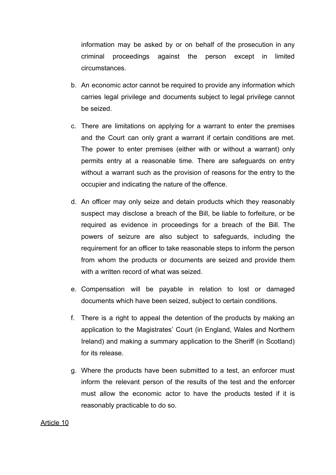information may be asked by or on behalf of the prosecution in any criminal proceedings against the person except in limited circumstances.

- b. An economic actor cannot be required to provide any information which carries legal privilege and documents subject to legal privilege cannot be seized.
- c. There are limitations on applying for a warrant to enter the premises and the Court can only grant a warrant if certain conditions are met. The power to enter premises (either with or without a warrant) only permits entry at a reasonable time. There are safeguards on entry without a warrant such as the provision of reasons for the entry to the occupier and indicating the nature of the offence.
- d. An officer may only seize and detain products which they reasonably suspect may disclose a breach of the Bill, be liable to forfeiture, or be required as evidence in proceedings for a breach of the Bill. The powers of seizure are also subject to safeguards, including the requirement for an officer to take reasonable steps to inform the person from whom the products or documents are seized and provide them with a written record of what was seized.
- e. Compensation will be payable in relation to lost or damaged documents which have been seized, subject to certain conditions.
- f. There is a right to appeal the detention of the products by making an application to the Magistrates' Court (in England, Wales and Northern Ireland) and making a summary application to the Sheriff (in Scotland) for its release.
- g. Where the products have been submitted to a test, an enforcer must inform the relevant person of the results of the test and the enforcer must allow the economic actor to have the products tested if it is reasonably practicable to do so.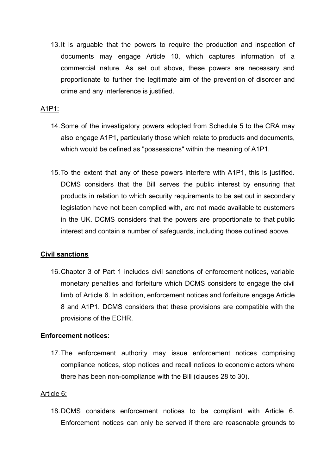13.It is arguable that the powers to require the production and inspection of documents may engage Article 10, which captures information of a commercial nature. As set out above, these powers are necessary and proportionate to further the legitimate aim of the prevention of disorder and crime and any interference is justified.

## A1P1:

- 14.Some of the investigatory powers adopted from Schedule 5 to the CRA may also engage A1P1, particularly those which relate to products and documents, which would be defined as "possessions" within the meaning of A1P1.
- 15.To the extent that any of these powers interfere with A1P1, this is justified. DCMS considers that the Bill serves the public interest by ensuring that products in relation to which security requirements to be set out in secondary legislation have not been complied with, are not made available to customers in the UK. DCMS considers that the powers are proportionate to that public interest and contain a number of safeguards, including those outlined above.

## **Civil sanctions**

16.Chapter 3 of Part 1 includes civil sanctions of enforcement notices, variable monetary penalties and forfeiture which DCMS considers to engage the civil limb of Article 6. In addition, enforcement notices and forfeiture engage Article 8 and A1P1. DCMS considers that these provisions are compatible with the provisions of the ECHR.

## **Enforcement notices:**

17.The enforcement authority may issue enforcement notices comprising compliance notices, stop notices and recall notices to economic actors where there has been non-compliance with the Bill (clauses 28 to 30).

## Article 6:

18.DCMS considers enforcement notices to be compliant with Article 6. Enforcement notices can only be served if there are reasonable grounds to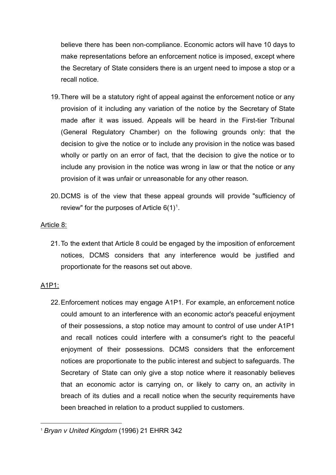believe there has been non-compliance. Economic actors will have 10 days to make representations before an enforcement notice is imposed, except where the Secretary of State considers there is an urgent need to impose a stop or a recall notice.

- 19.There will be a statutory right of appeal against the enforcement notice or any provision of it including any variation of the notice by the Secretary of State made after it was issued. Appeals will be heard in the First-tier Tribunal (General Regulatory Chamber) on the following grounds only: that the decision to give the notice or to include any provision in the notice was based wholly or partly on an error of fact, that the decision to give the notice or to include any provision in the notice was wrong in law or that the notice or any provision of it was unfair or unreasonable for any other reason.
- 20.DCMS is of the view that these appeal grounds will provide "sufficiency of review" for the purposes of Article  $6(1)^1$ .

## Article 8:

21.To the extent that Article 8 could be engaged by the imposition of enforcement notices, DCMS considers that any interference would be justified and proportionate for the reasons set out above.

# A1P1:

22.Enforcement notices may engage A1P1. For example, an enforcement notice could amount to an interference with an economic actor's peaceful enjoyment of their possessions, a stop notice may amount to control of use under A1P1 and recall notices could interfere with a consumer's right to the peaceful enjoyment of their possessions. DCMS considers that the enforcement notices are proportionate to the public interest and subject to safeguards. The Secretary of State can only give a stop notice where it reasonably believes that an economic actor is carrying on, or likely to carry on, an activity in breach of its duties and a recall notice when the security requirements have been breached in relation to a product supplied to customers.

<sup>1</sup> *Bryan v United Kingdom* (1996) 21 EHRR 342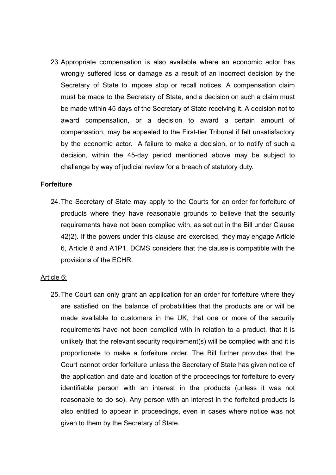23.Appropriate compensation is also available where an economic actor has wrongly suffered loss or damage as a result of an incorrect decision by the Secretary of State to impose stop or recall notices. A compensation claim must be made to the Secretary of State, and a decision on such a claim must be made within 45 days of the Secretary of State receiving it. A decision not to award compensation, or a decision to award a certain amount of compensation, may be appealed to the First-tier Tribunal if felt unsatisfactory by the economic actor. A failure to make a decision, or to notify of such a decision, within the 45-day period mentioned above may be subject to challenge by way of judicial review for a breach of statutory duty.

## **Forfeiture**

24.The Secretary of State may apply to the Courts for an order for forfeiture of products where they have reasonable grounds to believe that the security requirements have not been complied with, as set out in the Bill under Clause 42(2). If the powers under this clause are exercised, they may engage Article 6, Article 8 and A1P1. DCMS considers that the clause is compatible with the provisions of the ECHR.

#### Article 6:

25.The Court can only grant an application for an order for forfeiture where they are satisfied on the balance of probabilities that the products are or will be made available to customers in the UK, that one or more of the security requirements have not been complied with in relation to a product, that it is unlikely that the relevant security requirement(s) will be complied with and it is proportionate to make a forfeiture order. The Bill further provides that the Court cannot order forfeiture unless the Secretary of State has given notice of the application and date and location of the proceedings for forfeiture to every identifiable person with an interest in the products (unless it was not reasonable to do so). Any person with an interest in the forfeited products is also entitled to appear in proceedings, even in cases where notice was not given to them by the Secretary of State.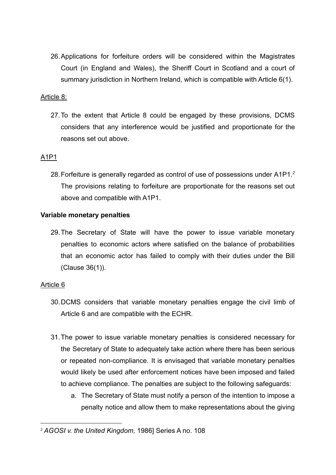26.Applications for forfeiture orders will be considered within the Magistrates Court (in England and Wales), the Sheriff Court in Scotland and a court of summary jurisdiction in Northern Ireland, which is compatible with Article 6(1).

## Article 8:

27.To the extent that Article 8 could be engaged by these provisions, DCMS considers that any interference would be justified and proportionate for the reasons set out above.

## A1P1

28.Forfeiture is generally regarded as control of use of possessions under A1P1.*<sup>2</sup>* The provisions relating to forfeiture are proportionate for the reasons set out above and compatible with A1P1.

## **Variable monetary penalties**

29.The Secretary of State will have the power to issue variable monetary penalties to economic actors where satisfied on the balance of probabilities that an economic actor has failed to comply with their duties under the Bill (Clause 36(1)).

- 30.DCMS considers that variable monetary penalties engage the civil limb of Article 6 and are compatible with the ECHR.
- 31.The power to issue variable monetary penalties is considered necessary for the Secretary of State to adequately take action where there has been serious or repeated non-compliance. It is envisaged that variable monetary penalties would likely be used after enforcement notices have been imposed and failed to achieve compliance. The penalties are subject to the following safeguards:
	- a. The Secretary of State must notify a person of the intention to impose a penalty notice and allow them to make representations about the giving

<sup>2</sup> *AGOSI v. the United Kingdom,* 1986] Series A no. 108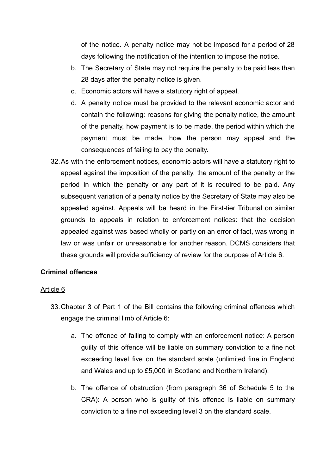of the notice. A penalty notice may not be imposed for a period of 28 days following the notification of the intention to impose the notice.

- b. The Secretary of State may not require the penalty to be paid less than 28 days after the penalty notice is given.
- c. Economic actors will have a statutory right of appeal.
- d. A penalty notice must be provided to the relevant economic actor and contain the following: reasons for giving the penalty notice, the amount of the penalty, how payment is to be made, the period within which the payment must be made, how the person may appeal and the consequences of failing to pay the penalty.
- 32.As with the enforcement notices, economic actors will have a statutory right to appeal against the imposition of the penalty, the amount of the penalty or the period in which the penalty or any part of it is required to be paid. Any subsequent variation of a penalty notice by the Secretary of State may also be appealed against. Appeals will be heard in the First-tier Tribunal on similar grounds to appeals in relation to enforcement notices: that the decision appealed against was based wholly or partly on an error of fact, was wrong in law or was unfair or unreasonable for another reason. DCMS considers that these grounds will provide sufficiency of review for the purpose of Article 6.

# **Criminal offences**

- 33.Chapter 3 of Part 1 of the Bill contains the following criminal offences which engage the criminal limb of Article 6:
	- a. The offence of failing to comply with an enforcement notice: A person guilty of this offence will be liable on summary conviction to a fine not exceeding level five on the standard scale (unlimited fine in England and Wales and up to £5,000 in Scotland and Northern Ireland).
	- b. The offence of obstruction (from paragraph 36 of Schedule 5 to the CRA): A person who is guilty of this offence is liable on summary conviction to a fine not exceeding level 3 on the standard scale.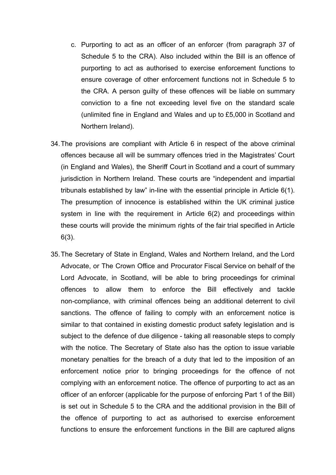- c. Purporting to act as an officer of an enforcer (from paragraph 37 of Schedule 5 to the CRA). Also included within the Bill is an offence of purporting to act as authorised to exercise enforcement functions to ensure coverage of other enforcement functions not in Schedule 5 to the CRA. A person guilty of these offences will be liable on summary conviction to a fine not exceeding level five on the standard scale (unlimited fine in England and Wales and up to £5,000 in Scotland and Northern Ireland).
- 34.The provisions are compliant with Article 6 in respect of the above criminal offences because all will be summary offences tried in the Magistrates' Court (in England and Wales), the Sheriff Court in Scotland and a court of summary jurisdiction in Northern Ireland. These courts are "independent and impartial tribunals established by law" in-line with the essential principle in Article 6(1). The presumption of innocence is established within the UK criminal justice system in line with the requirement in Article 6(2) and proceedings within these courts will provide the minimum rights of the fair trial specified in Article 6(3).
- 35.The Secretary of State in England, Wales and Northern Ireland, and the Lord Advocate, or The Crown Office and Procurator Fiscal Service on behalf of the Lord Advocate, in Scotland, will be able to bring proceedings for criminal offences to allow them to enforce the Bill effectively and tackle non-compliance, with criminal offences being an additional deterrent to civil sanctions. The offence of failing to comply with an enforcement notice is similar to that contained in existing domestic product safety legislation and is subject to the defence of due diligence - taking all reasonable steps to comply with the notice. The Secretary of State also has the option to issue variable monetary penalties for the breach of a duty that led to the imposition of an enforcement notice prior to bringing proceedings for the offence of not complying with an enforcement notice. The offence of purporting to act as an officer of an enforcer (applicable for the purpose of enforcing Part 1 of the Bill) is set out in Schedule 5 to the CRA and the additional provision in the Bill of the offence of purporting to act as authorised to exercise enforcement functions to ensure the enforcement functions in the Bill are captured aligns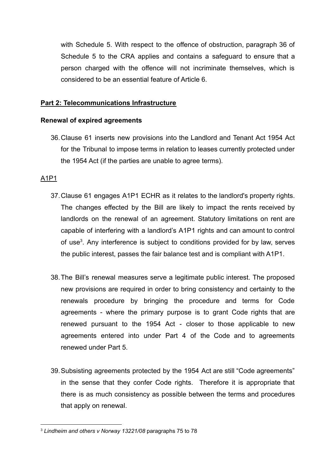with Schedule 5. With respect to the offence of obstruction, paragraph 36 of Schedule 5 to the CRA applies and contains a safeguard to ensure that a person charged with the offence will not incriminate themselves, which is considered to be an essential feature of Article 6.

## **Part 2: Telecommunications Infrastructure**

## **Renewal of expired agreements**

36.Clause 61 inserts new provisions into the Landlord and Tenant Act 1954 Act for the Tribunal to impose terms in relation to leases currently protected under the 1954 Act (if the parties are unable to agree terms).

## A1P1

- 37.Clause 61 engages A1P1 ECHR as it relates to the landlord's property rights. The changes effected by the Bill are likely to impact the rents received by landlords on the renewal of an agreement. Statutory limitations on rent are capable of interfering with a landlord's A1P1 rights and can amount to control of use<sup>3</sup>. Any interference is subject to conditions provided for by law, serves the public interest, passes the fair balance test and is compliant with A1P1.
- 38.The Bill's renewal measures serve a legitimate public interest. The proposed new provisions are required in order to bring consistency and certainty to the renewals procedure by bringing the procedure and terms for Code agreements - where the primary purpose is to grant Code rights that are renewed pursuant to the 1954 Act - closer to those applicable to new agreements entered into under Part 4 of the Code and to agreements renewed under Part 5.
- 39.Subsisting agreements protected by the 1954 Act are still "Code agreements" in the sense that they confer Code rights. Therefore it is appropriate that there is as much consistency as possible between the terms and procedures that apply on renewal.

<sup>3</sup> *Lindheim and others v Norway 13221/08* paragraphs 75 to 78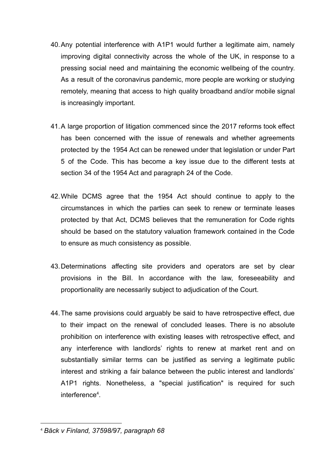- 40.Any potential interference with A1P1 would further a legitimate aim, namely improving digital connectivity across the whole of the UK, in response to a pressing social need and maintaining the economic wellbeing of the country. As a result of the coronavirus pandemic, more people are working or studying remotely, meaning that access to high quality broadband and/or mobile signal is increasingly important.
- 41.A large proportion of litigation commenced since the 2017 reforms took effect has been concerned with the issue of renewals and whether agreements protected by the 1954 Act can be renewed under that legislation or under Part 5 of the Code. This has become a key issue due to the different tests at section 34 of the 1954 Act and paragraph 24 of the Code.
- 42.While DCMS agree that the 1954 Act should continue to apply to the circumstances in which the parties can seek to renew or terminate leases protected by that Act, DCMS believes that the remuneration for Code rights should be based on the statutory valuation framework contained in the Code to ensure as much consistency as possible.
- 43.Determinations affecting site providers and operators are set by clear provisions in the Bill. In accordance with the law, foreseeability and proportionality are necessarily subject to adjudication of the Court.
- 44.The same provisions could arguably be said to have retrospective effect, due to their impact on the renewal of concluded leases. There is no absolute prohibition on interference with existing leases with retrospective effect, and any interference with landlords' rights to renew at market rent and on substantially similar terms can be justified as serving a legitimate public interest and striking a fair balance between the public interest and landlords' A1P1 rights. Nonetheless, a "special justification" is required for such interference<sup>4</sup> .

<sup>4</sup> *Bäck v Finland, 37598/97, paragraph 68*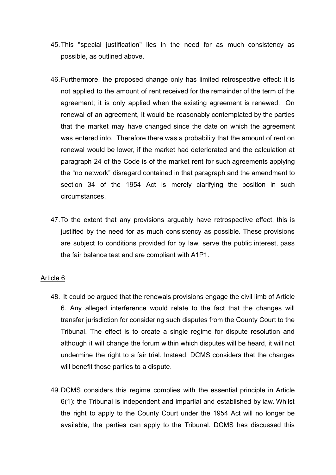- 45.This "special justification" lies in the need for as much consistency as possible, as outlined above.
- 46.Furthermore, the proposed change only has limited retrospective effect: it is not applied to the amount of rent received for the remainder of the term of the agreement; it is only applied when the existing agreement is renewed. On renewal of an agreement, it would be reasonably contemplated by the parties that the market may have changed since the date on which the agreement was entered into. Therefore there was a probability that the amount of rent on renewal would be lower, if the market had deteriorated and the calculation at paragraph 24 of the Code is of the market rent for such agreements applying the "no network" disregard contained in that paragraph and the amendment to section 34 of the 1954 Act is merely clarifying the position in such circumstances.
- 47.To the extent that any provisions arguably have retrospective effect, this is justified by the need for as much consistency as possible. These provisions are subject to conditions provided for by law, serve the public interest, pass the fair balance test and are compliant with A1P1.

- 48. It could be argued that the renewals provisions engage the civil limb of Article 6. Any alleged interference would relate to the fact that the changes will transfer jurisdiction for considering such disputes from the County Court to the Tribunal. The effect is to create a single regime for dispute resolution and although it will change the forum within which disputes will be heard, it will not undermine the right to a fair trial. Instead, DCMS considers that the changes will benefit those parties to a dispute.
- 49.DCMS considers this regime complies with the essential principle in Article 6(1): the Tribunal is independent and impartial and established by law. Whilst the right to apply to the County Court under the 1954 Act will no longer be available, the parties can apply to the Tribunal. DCMS has discussed this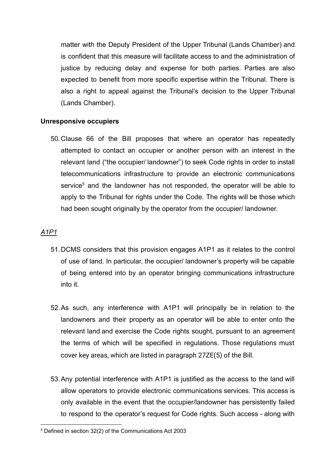matter with the Deputy President of the Upper Tribunal (Lands Chamber) and is confident that this measure will facilitate access to and the administration of justice by reducing delay and expense for both parties. Parties are also expected to benefit from more specific expertise within the Tribunal. There is also a right to appeal against the Tribunal's decision to the Upper Tribunal (Lands Chamber).

## **Unresponsive occupiers**

50.Clause 66 of the Bill proposes that where an operator has repeatedly attempted to contact an occupier or another person with an interest in the relevant land ("the occupier/ landowner") to seek Code rights in order to install telecommunications infrastructure to provide an electronic communications service<sup>5</sup> and the landowner has not responded, the operator will be able to apply to the Tribunal for rights under the Code. The rights will be those which had been sought originally by the operator from the occupier/ landowner.

# *A1P1*

- 51.DCMS considers that this provision engages A1P1 as it relates to the control of use of land. In particular, the occupier/ landowner's property will be capable of being entered into by an operator bringing communications infrastructure into it.
- 52.As such, any interference with A1P1 will principally be in relation to the landowners and their property as an operator will be able to enter onto the relevant land and exercise the Code rights sought, pursuant to an agreement the terms of which will be specified in regulations. Those regulations must cover key areas, which are listed in paragraph 27ZE(5) of the Bill.
- 53.Any potential interference with A1P1 is justified as the access to the land will allow operators to provide electronic communications services. This access is only available in the event that the occupier/landowner has persistently failed to respond to the operator's request for Code rights. Such access - along with

<sup>5</sup> Defined in section 32(2) of the Communications Act 2003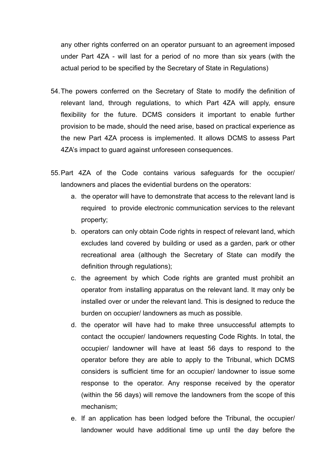any other rights conferred on an operator pursuant to an agreement imposed under Part 4ZA - will last for a period of no more than six years (with the actual period to be specified by the Secretary of State in Regulations)

- 54.The powers conferred on the Secretary of State to modify the definition of relevant land, through regulations, to which Part 4ZA will apply, ensure flexibility for the future. DCMS considers it important to enable further provision to be made, should the need arise, based on practical experience as the new Part 4ZA process is implemented. It allows DCMS to assess Part 4ZA's impact to guard against unforeseen consequences.
- 55.Part 4ZA of the Code contains various safeguards for the occupier/ landowners and places the evidential burdens on the operators:
	- a. the operator will have to demonstrate that access to the relevant land is required to provide electronic communication services to the relevant property;
	- b. operators can only obtain Code rights in respect of relevant land, which excludes land covered by building or used as a garden, park or other recreational area (although the Secretary of State can modify the definition through regulations);
	- c. the agreement by which Code rights are granted must prohibit an operator from installing apparatus on the relevant land. It may only be installed over or under the relevant land. This is designed to reduce the burden on occupier/ landowners as much as possible.
	- d. the operator will have had to make three unsuccessful attempts to contact the occupier/ landowners requesting Code Rights. In total, the occupier/ landowner will have at least 56 days to respond to the operator before they are able to apply to the Tribunal, which DCMS considers is sufficient time for an occupier/ landowner to issue some response to the operator. Any response received by the operator (within the 56 days) will remove the landowners from the scope of this mechanism;
	- e. If an application has been lodged before the Tribunal, the occupier/ landowner would have additional time up until the day before the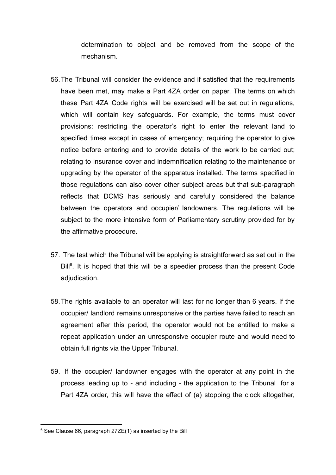determination to object and be removed from the scope of the mechanism.

- 56.The Tribunal will consider the evidence and if satisfied that the requirements have been met, may make a Part 4ZA order on paper. The terms on which these Part 4ZA Code rights will be exercised will be set out in regulations, which will contain key safeguards. For example, the terms must cover provisions: restricting the operator's right to enter the relevant land to specified times except in cases of emergency; requiring the operator to give notice before entering and to provide details of the work to be carried out; relating to insurance cover and indemnification relating to the maintenance or upgrading by the operator of the apparatus installed. The terms specified in those regulations can also cover other subject areas but that sub-paragraph reflects that DCMS has seriously and carefully considered the balance between the operators and occupier/ landowners. The regulations will be subject to the more intensive form of Parliamentary scrutiny provided for by the affirmative procedure.
- 57. The test which the Tribunal will be applying is straightforward as set out in the Bill<sup>6</sup>. It is hoped that this will be a speedier process than the present Code adjudication.
- 58.The rights available to an operator will last for no longer than 6 years. If the occupier/ landlord remains unresponsive or the parties have failed to reach an agreement after this period, the operator would not be entitled to make a repeat application under an unresponsive occupier route and would need to obtain full rights via the Upper Tribunal.
- 59. If the occupier/ landowner engages with the operator at any point in the process leading up to - and including - the application to the Tribunal for a Part 4ZA order, this will have the effect of (a) stopping the clock altogether,

 $6$  See Clause 66, paragraph 27ZE(1) as inserted by the Bill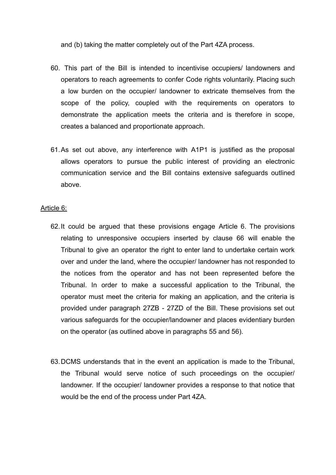and (b) taking the matter completely out of the Part 4ZA process.

- 60. This part of the Bill is intended to incentivise occupiers/ landowners and operators to reach agreements to confer Code rights voluntarily. Placing such a low burden on the occupier/ landowner to extricate themselves from the scope of the policy, coupled with the requirements on operators to demonstrate the application meets the criteria and is therefore in scope, creates a balanced and proportionate approach.
- 61.As set out above, any interference with A1P1 is justified as the proposal allows operators to pursue the public interest of providing an electronic communication service and the Bill contains extensive safeguards outlined above.

### Article 6:

- 62.It could be argued that these provisions engage Article 6. The provisions relating to unresponsive occupiers inserted by clause 66 will enable the Tribunal to give an operator the right to enter land to undertake certain work over and under the land, where the occupier/ landowner has not responded to the notices from the operator and has not been represented before the Tribunal. In order to make a successful application to the Tribunal, the operator must meet the criteria for making an application, and the criteria is provided under paragraph 27ZB - 27ZD of the Bill. These provisions set out various safeguards for the occupier/landowner and places evidentiary burden on the operator (as outlined above in paragraphs 55 and 56).
- 63.DCMS understands that in the event an application is made to the Tribunal, the Tribunal would serve notice of such proceedings on the occupier/ landowner. If the occupier/ landowner provides a response to that notice that would be the end of the process under Part 4ZA.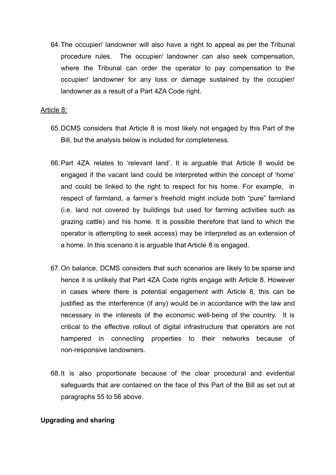64.The occupier/ landowner will also have a right to appeal as per the Tribunal procedure rules. The occupier/ landowner can also seek compensation, where the Tribunal can order the operator to pay compensation to the occupier/ landowner for any loss or damage sustained by the occupier/ landowner as a result of a Part 4ZA Code right.

### Article 8:

- 65.DCMS considers that Article 8 is most likely not engaged by this Part of the Bill, but the analysis below is included for completeness.
- 66.Part 4ZA relates to 'relevant land'. It is arguable that Article 8 would be engaged if the vacant land could be interpreted within the concept of 'home' and could be linked to the right to respect for his home. For example, in respect of farmland, a farmer's freehold might include both "pure" farmland (i.e. land not covered by buildings but used for farming activities such as grazing cattle) and his home. It is possible therefore that land to which the operator is attempting to seek access) may be interpreted as an extension of a home. In this scenario it is arguable that Article 8 is engaged.
- 67.On balance, DCMS considers that such scenarios are likely to be sparse and hence it is unlikely that Part 4ZA Code rights engage with Article 8. However in cases where there is potential engagement with Article 8, this can be justified as the interference (if any) would be in accordance with the law and necessary in the interests of the economic well-being of the country. It is critical to the effective rollout of digital infrastructure that operators are not hampered in connecting properties to their networks because of non-responsive landowners.
- 68.It is also proportionate because of the clear procedural and evidential safeguards that are contained on the face of this Part of the Bill as set out at paragraphs 55 to 56 above.

## **Upgrading and sharing**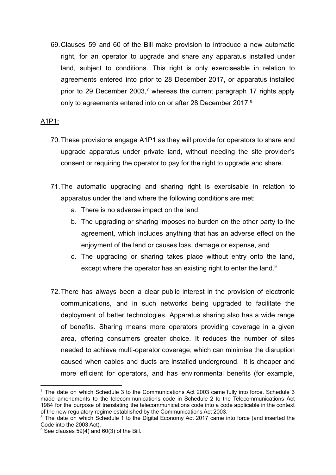69.Clauses 59 and 60 of the Bill make provision to introduce a new automatic right, for an operator to upgrade and share any apparatus installed under land, subject to conditions. This right is only exerciseable in relation to agreements entered into prior to 28 December 2017, or apparatus installed prior to 29 December 2003, $^7$  whereas the current paragraph 17 rights apply only to agreements entered into on or after 28 December 2017.<sup>8</sup>

## A1P1:

- 70.These provisions engage A1P1 as they will provide for operators to share and upgrade apparatus under private land, without needing the site provider's consent or requiring the operator to pay for the right to upgrade and share.
- 71.The automatic upgrading and sharing right is exercisable in relation to apparatus under the land where the following conditions are met:
	- a. There is no adverse impact on the land,
	- b. The upgrading or sharing imposes no burden on the other party to the agreement, which includes anything that has an adverse effect on the enjoyment of the land or causes loss, damage or expense, and
	- c. The upgrading or sharing takes place without entry onto the land, except where the operator has an existing right to enter the land.<sup>9</sup>
- 72.There has always been a clear public interest in the provision of electronic communications, and in such networks being upgraded to facilitate the deployment of better technologies. Apparatus sharing also has a wide range of benefits. Sharing means more operators providing coverage in a given area, offering consumers greater choice. It reduces the number of sites needed to achieve multi-operator coverage, which can minimise the disruption caused when cables and ducts are installed underground. It is cheaper and more efficient for operators, and has environmental benefits (for example,

 $7$  The date on which Schedule 3 to the Communications Act 2003 came fully into force. Schedule 3 made amendments to the telecommunications code in Schedule 2 to the Telecommunications Act 1984 for the purpose of translating the telecommunications code into a code applicable in the context of the new regulatory regime established by the Communications Act 2003.

<sup>&</sup>lt;sup>8</sup> The date on which Schedule 1 to the Digital Economy Act 2017 came into force (and inserted the Code into the 2003 Act).

 $9$  See clauses 59(4) and 60(3) of the Bill.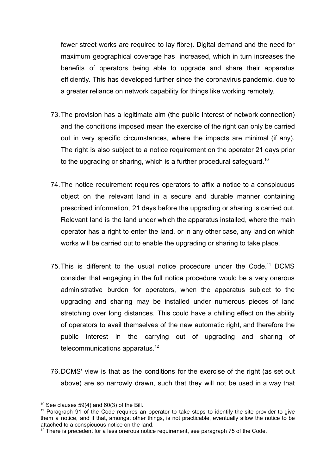fewer street works are required to lay fibre). Digital demand and the need for maximum geographical coverage has increased, which in turn increases the benefits of operators being able to upgrade and share their apparatus efficiently. This has developed further since the coronavirus pandemic, due to a greater reliance on network capability for things like working remotely.

- 73.The provision has a legitimate aim (the public interest of network connection) and the conditions imposed mean the exercise of the right can only be carried out in very specific circumstances, where the impacts are minimal (if any). The right is also subject to a notice requirement on the operator 21 days prior to the upgrading or sharing, which is a further procedural safeguard.<sup>10</sup>
- 74.The notice requirement requires operators to affix a notice to a conspicuous object on the relevant land in a secure and durable manner containing prescribed information, 21 days before the upgrading or sharing is carried out. Relevant land is the land under which the apparatus installed, where the main operator has a right to enter the land, or in any other case, any land on which works will be carried out to enable the upgrading or sharing to take place.
- 75. This is different to the usual notice procedure under the Code.<sup>11</sup> DCMS consider that engaging in the full notice procedure would be a very onerous administrative burden for operators, when the apparatus subject to the upgrading and sharing may be installed under numerous pieces of land stretching over long distances. This could have a chilling effect on the ability of operators to avail themselves of the new automatic right, and therefore the public interest in the carrying out of upgrading and sharing of telecommunications apparatus.<sup>12</sup>
- 76.DCMS' view is that as the conditions for the exercise of the right (as set out above) are so narrowly drawn, such that they will not be used in a way that

 $10$  See clauses 59(4) and 60(3) of the Bill.

<sup>&</sup>lt;sup>11</sup> Paragraph 91 of the Code requires an operator to take steps to identify the site provider to give them a notice, and if that, amongst other things, is not practicable, eventually allow the notice to be attached to a conspicuous notice on the land.

 $12$  There is precedent for a less onerous notice requirement, see paragraph 75 of the Code.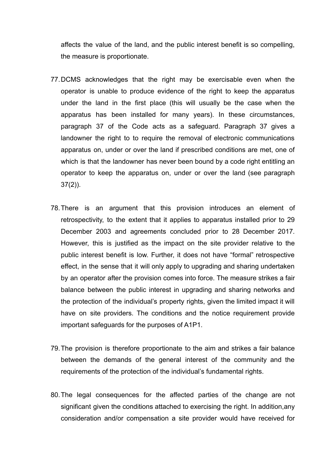affects the value of the land, and the public interest benefit is so compelling, the measure is proportionate.

- 77.DCMS acknowledges that the right may be exercisable even when the operator is unable to produce evidence of the right to keep the apparatus under the land in the first place (this will usually be the case when the apparatus has been installed for many years). In these circumstances, paragraph 37 of the Code acts as a safeguard. Paragraph 37 gives a landowner the right to to require the removal of electronic communications apparatus on, under or over the land if prescribed conditions are met, one of which is that the landowner has never been bound by a code right entitling an operator to keep the apparatus on, under or over the land (see paragraph 37(2)).
- 78.There is an argument that this provision introduces an element of retrospectivity, to the extent that it applies to apparatus installed prior to 29 December 2003 and agreements concluded prior to 28 December 2017*.* However, this is justified as the impact on the site provider relative to the public interest benefit is low. Further, it does not have "formal" retrospective effect, in the sense that it will only apply to upgrading and sharing undertaken by an operator after the provision comes into force. The measure strikes a fair balance between the public interest in upgrading and sharing networks and the protection of the individual's property rights, given the limited impact it will have on site providers. The conditions and the notice requirement provide important safeguards for the purposes of A1P1.
- 79.The provision is therefore proportionate to the aim and strikes a fair balance between the demands of the general interest of the community and the requirements of the protection of the individual's fundamental rights.
- 80.The legal consequences for the affected parties of the change are not significant given the conditions attached to exercising the right. In addition,any consideration and/or compensation a site provider would have received for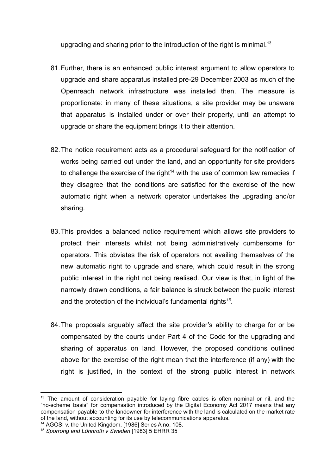upgrading and sharing prior to the introduction of the right is minimal.<sup>13</sup>

- 81.Further, there is an enhanced public interest argument to allow operators to upgrade and share apparatus installed pre-29 December 2003 as much of the Openreach network infrastructure was installed then. The measure is proportionate: in many of these situations, a site provider may be unaware that apparatus is installed under or over their property, until an attempt to upgrade or share the equipment brings it to their attention.
- 82.The notice requirement acts as a procedural safeguard for the notification of works being carried out under the land, and an opportunity for site providers to challenge the exercise of the right $14$  with the use of common law remedies if they disagree that the conditions are satisfied for the exercise of the new automatic right when a network operator undertakes the upgrading and/or sharing.
- 83.This provides a balanced notice requirement which allows site providers to protect their interests whilst not being administratively cumbersome for operators. This obviates the risk of operators not availing themselves of the new automatic right to upgrade and share, which could result in the strong public interest in the right not being realised. Our view is that, in light of the narrowly drawn conditions, a fair balance is struck between the public interest and the protection of the individual's fundamental rights*<sup>15</sup> .*
- 84.The proposals arguably affect the site provider's ability to charge for or be compensated by the courts under Part 4 of the Code for the upgrading and sharing of apparatus on land. However, the proposed conditions outlined above for the exercise of the right mean that the interference (if any) with the right is justified, in the context of the strong public interest in network

 $13$  The amount of consideration payable for laying fibre cables is often nominal or nil, and the "no-scheme basis" for compensation introduced by the Digital Economy Act 2017 means that any compensation payable to the landowner for interference with the land is calculated on the market rate of the land, without accounting for its use by telecommunications apparatus.

<sup>14</sup> AGOSI v. the United Kingdom, [1986] Series A no. 108.

<sup>15</sup> *Sporrong and Lönnroth v Sweden* [1983] 5 EHRR 35